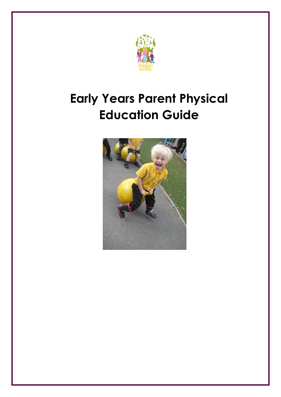

## **Early Years Parent Physical Education Guide**

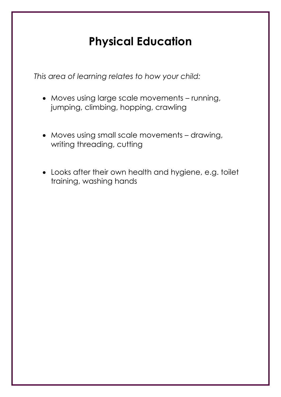## **Physical Education**

*This area of learning relates to how your child:*

- Moves using large scale movements running, jumping, climbing, hopping, crawling
- Moves using small scale movements drawing, writing threading, cutting
- Looks after their own health and hygiene, e.g. toilet training, washing hands